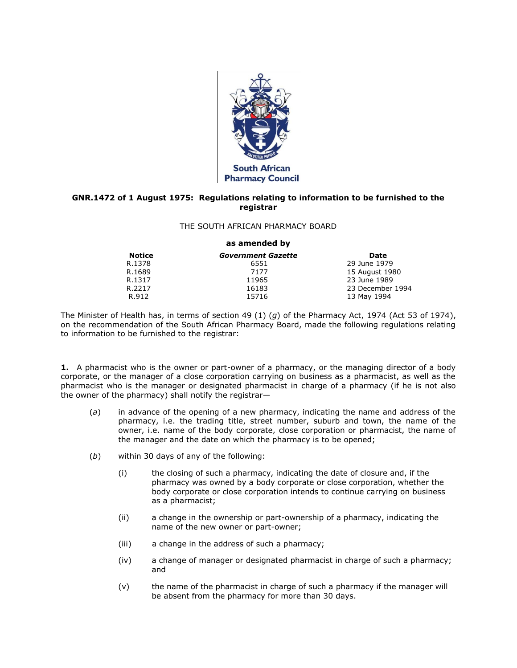

## **GNR.1472 of 1 August 1975: Regulations relating to information to be furnished to the registrar**

## THE SOUTH AFRICAN PHARMACY BOARD

## **as amended by**

| <b>Notice</b> | <b>Government Gazette</b> | Date             |
|---------------|---------------------------|------------------|
| R.1378        | 6551                      | 29 June 1979     |
| R.1689        | 7177                      | 15 August 1980   |
| R.1317        | 11965                     | 23 June 1989     |
| R.2217        | 16183                     | 23 December 1994 |
| R.912         | 15716                     | 13 May 1994      |

The Minister of Health has, in terms of [section 49](http://www.mylexisnexis.co.za/nxt/gateway.dll/jilc/kilc/xjsg/zmsg/0msg/g44h#8) (1) (*g*) of the Pharmacy Act, 1974 (Act [53 of 1974\)](http://www.mylexisnexis.co.za/nxt/gateway.dll/jilc/kilc/xjsg/zmsg/0msg#0), on the recommendation of the South African Pharmacy Board, made the following regulations relating to information to be furnished to the registrar:

**1.** A pharmacist who is the owner or part-owner of a pharmacy, or the managing director of a body corporate, or the manager of a close corporation carrying on business as a pharmacist, as well as the pharmacist who is the manager or designated pharmacist in charge of a pharmacy (if he is not also the owner of the pharmacy) shall notify the registrar—

- (*a*) in advance of the opening of a new pharmacy, indicating the name and address of the pharmacy, i.e. the trading title, street number, suburb and town, the name of the owner, i.e. name of the body corporate, close corporation or pharmacist, the name of the manager and the date on which the pharmacy is to be opened;
- (*b*) within 30 days of any of the following:
	- (i) the closing of such a pharmacy, indicating the date of closure and, if the pharmacy was owned by a body corporate or close corporation, whether the body corporate or close corporation intends to continue carrying on business as a pharmacist;
	- (ii) a change in the ownership or part-ownership of a pharmacy, indicating the name of the new owner or part-owner;
	- (iii) a change in the address of such a pharmacy;
	- (iv) a change of manager or designated pharmacist in charge of such a pharmacy; and
	- (v) the name of the pharmacist in charge of such a pharmacy if the manager will be absent from the pharmacy for more than 30 days.